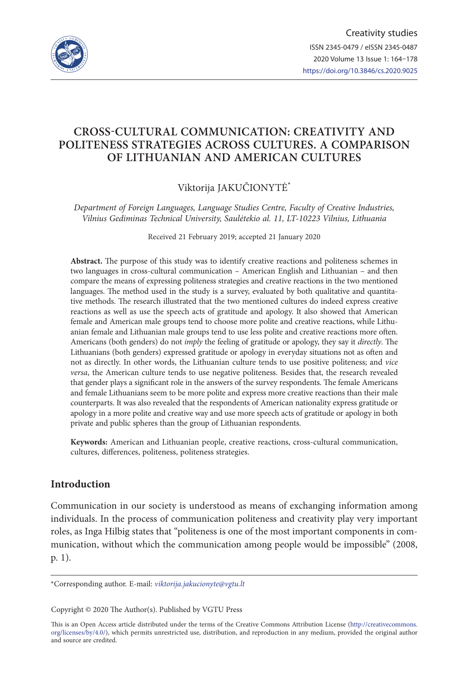

# **CROSS-CULTURAL COMMUNICATION: CREATIVITY AND POLITENESS STRATEGIES ACROSS CULTURES. A COMPARISON OF LITHUANIAN AND AMERICAN CULTURES**

## Viktorija JAKUČIONYTĖ\*

*Department of Foreign Languages, Language Studies Centre, Faculty of Creative Industries, Vilnius Gediminas Technical University, Saulėtekio al. 11, LT-10223 Vilnius, Lithuania*

Received 21 February 2019; accepted 21 January 2020

**Abstract.** The purpose of this study was to identify creative reactions and politeness schemes in two languages in cross-cultural communication – American English and Lithuanian – and then compare the means of expressing politeness strategies and creative reactions in the two mentioned languages. The method used in the study is a survey, evaluated by both qualitative and quantitative methods. The research illustrated that the two mentioned cultures do indeed express creative reactions as well as use the speech acts of gratitude and apology. It also showed that American female and American male groups tend to choose more polite and creative reactions, while Lithuanian female and Lithuanian male groups tend to use less polite and creative reactions more often. Americans (both genders) do not *imply* the feeling of gratitude or apology, they say it *directly*. The Lithuanians (both genders) expressed gratitude or apology in everyday situations not as often and not as directly. In other words, the Lithuanian culture tends to use positive politeness; and *vice versa*, the American culture tends to use negative politeness. Besides that, the research revealed that gender plays a significant role in the answers of the survey respondents. The female Americans and female Lithuanians seem to be more polite and express more creative reactions than their male counterparts. It was also revealed that the respondents of American nationality express gratitude or apology in a more polite and creative way and use more speech acts of gratitude or apology in both private and public spheres than the group of Lithuanian respondents.

**Keywords:** American and Lithuanian people, creative reactions, cross-cultural communication, cultures, differences, politeness, politeness strategies.

## **Introduction**

Communication in our society is understood as means of exchanging information among individuals. In the process of communication politeness and creativity play very important roles, as Inga Hilbig states that "politeness is one of the most important components in communication, without which the communication among people would be impossible" (2008, p. 1).

Copyright © 2020 The Author(s). Published by VGTU Press

This is an Open Access article distributed under the terms of the Creative Commons Attribution License (http://creativecommons. org/licenses/by/4.0/), which permits unrestricted use, distribution, and reproduction in any medium, provided the original author and source are credited.

<sup>\*</sup>Corresponding author. E-mail: *viktorija.jakucionyte@vgtu.lt*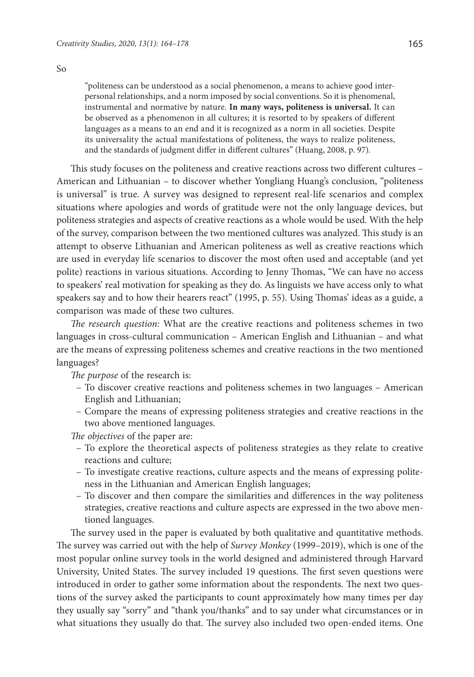"politeness can be understood as a social phenomenon, a means to achieve good interpersonal relationships, and a norm imposed by social conventions. So it is phenomenal, instrumental and normative by nature. **In many ways, politeness is universal.** It can be observed as a phenomenon in all cultures; it is resorted to by speakers of different languages as a means to an end and it is recognized as a norm in all societies. Despite its universality the actual manifestations of politeness, the ways to realize politeness, and the standards of judgment differ in different cultures" (Huang, 2008, p. 97).

This study focuses on the politeness and creative reactions across two different cultures – American and Lithuanian – to discover whether Yongliang Huang's conclusion, "politeness is universal" is true. A survey was designed to represent real-life scenarios and complex situations where apologies and words of gratitude were not the only language devices, but politeness strategies and aspects of creative reactions as a whole would be used. With the help of the survey, comparison between the two mentioned cultures was analyzed. This study is an attempt to observe Lithuanian and American politeness as well as creative reactions which are used in everyday life scenarios to discover the most often used and acceptable (and yet polite) reactions in various situations. According to Jenny Thomas, "We can have no access to speakers' real motivation for speaking as they do. As linguists we have access only to what speakers say and to how their hearers react" (1995, p. 55). Using Thomas' ideas as a guide, a comparison was made of these two cultures.

*The research question:* What are the creative reactions and politeness schemes in two languages in cross-cultural communication – American English and Lithuanian – and what are the means of expressing politeness schemes and creative reactions in the two mentioned languages?

*The purpose* of the research is:

- To discover creative reactions and politeness schemes in two languages American English and Lithuanian;
- Compare the means of expressing politeness strategies and creative reactions in the two above mentioned languages.

*The objectives* of the paper are:

- To explore the theoretical aspects of politeness strategies as they relate to creative reactions and culture;
- To investigate creative reactions, culture aspects and the means of expressing politeness in the Lithuanian and American English languages;
- To discover and then compare the similarities and differences in the way politeness strategies, creative reactions and culture aspects are expressed in the two above mentioned languages.

The survey used in the paper is evaluated by both qualitative and quantitative methods. The survey was carried out with the help of *Survey Monkey* (1999–2019), which is one of the most popular online survey tools in the world designed and administered through Harvard University, United States. The survey included 19 questions. The first seven questions were introduced in order to gather some information about the respondents. The next two questions of the survey asked the participants to count approximately how many times per day they usually say "sorry" and "thank you/thanks" and to say under what circumstances or in what situations they usually do that. The survey also included two open-ended items. One

So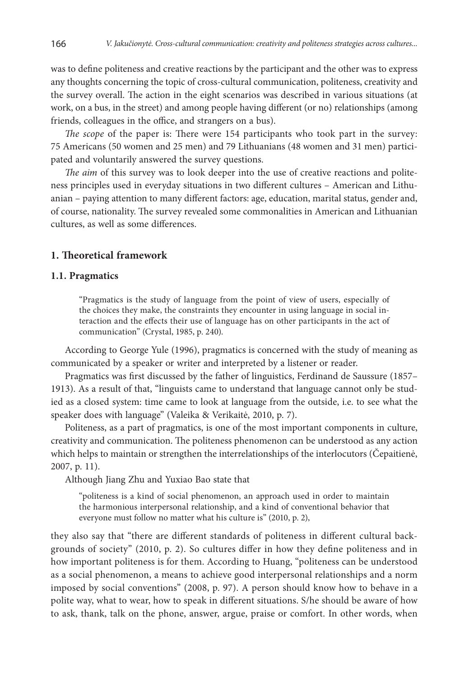was to define politeness and creative reactions by the participant and the other was to express any thoughts concerning the topic of cross-cultural communication, politeness, creativity and the survey overall. The action in the eight scenarios was described in various situations (at work, on a bus, in the street) and among people having different (or no) relationships (among friends, colleagues in the office, and strangers on a bus).

*The scope* of the paper is: There were 154 participants who took part in the survey: 75 Americans (50 women and 25 men) and 79 Lithuanians (48 women and 31 men) participated and voluntarily answered the survey questions.

*The aim* of this survey was to look deeper into the use of creative reactions and politeness principles used in everyday situations in two different cultures – American and Lithuanian – paying attention to many different factors: age, education, marital status, gender and, of course, nationality. The survey revealed some commonalities in American and Lithuanian cultures, as well as some differences.

### **1. Theoretical framework**

#### **1.1. Pragmatics**

"Pragmatics is the study of language from the point of view of users, especially of the choices they make, the constraints they encounter in using language in social interaction and the effects their use of language has on other participants in the act of communication" (Crystal, 1985, p. 240).

According to George Yule (1996), pragmatics is concerned with the study of meaning as communicated by a speaker or writer and interpreted by a listener or reader.

Pragmatics was first discussed by the father of linguistics, Ferdinand de Saussure (1857– 1913). As a result of that, "linguists came to understand that language cannot only be studied as a closed system: time came to look at language from the outside, i.e. to see what the speaker does with language" (Valeika & Verikaitė, 2010, p. 7).

Politeness, as a part of pragmatics, is one of the most important components in culture, creativity and communication. The politeness phenomenon can be understood as any action which helps to maintain or strengthen the interrelationships of the interlocutors (Čepaitienė, 2007, p. 11).

Although Jiang Zhu and Yuxiao Bao state that

"politeness is a kind of social phenomenon, an approach used in order to maintain the harmonious interpersonal relationship, and a kind of conventional behavior that everyone must follow no matter what his culture is" (2010, p. 2),

they also say that "there are different standards of politeness in different cultural backgrounds of society" (2010, p. 2). So cultures differ in how they define politeness and in how important politeness is for them. According to Huang, "politeness can be understood as a social phenomenon, a means to achieve good interpersonal relationships and a norm imposed by social conventions" (2008, p. 97). A person should know how to behave in a polite way, what to wear, how to speak in different situations. S/he should be aware of how to ask, thank, talk on the phone, answer, argue, praise or comfort. In other words, when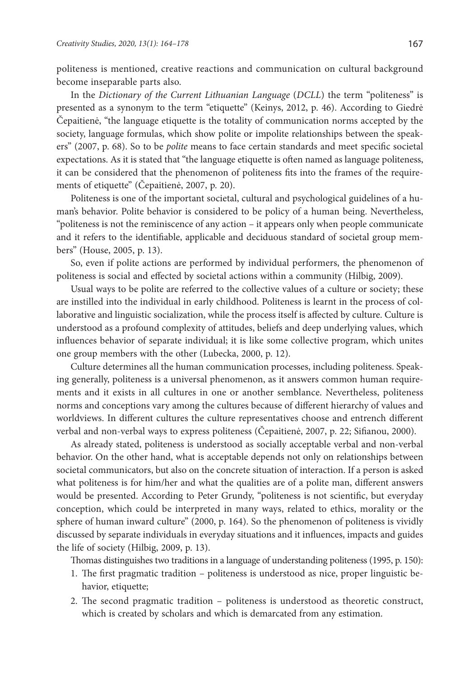politeness is mentioned, creative reactions and communication on cultural background become inseparable parts also.

In the *Dictionary of the Current Lithuanian Language* (*DCLL*) the term "politeness" is presented as a synonym to the term "etiquette" (Keinys, 2012, p. 46). According to Giedrė Čepaitienė, "the language etiquette is the totality of communication norms accepted by the society, language formulas, which show polite or impolite relationships between the speakers" (2007, p. 68). So to be *polite* means to face certain standards and meet specific societal expectations. As it is stated that "the language etiquette is often named as language politeness, it can be considered that the phenomenon of politeness fits into the frames of the requirements of etiquette" (Čepaitienė, 2007, p. 20).

Politeness is one of the important societal, cultural and psychological guidelines of a human's behavior. Polite behavior is considered to be policy of a human being. Nevertheless, "politeness is not the reminiscence of any action – it appears only when people communicate and it refers to the identifiable, applicable and deciduous standard of societal group members" (House, 2005, p. 13).

So, even if polite actions are performed by individual performers, the phenomenon of politeness is social and effected by societal actions within a community (Hilbig, 2009).

Usual ways to be polite are referred to the collective values of a culture or society; these are instilled into the individual in early childhood. Politeness is learnt in the process of collaborative and linguistic socialization, while the process itself is affected by culture. Culture is understood as a profound complexity of attitudes, beliefs and deep underlying values, which influences behavior of separate individual; it is like some collective program, which unites one group members with the other (Lubecka, 2000, p. 12).

Culture determines all the human communication processes, including politeness. Speaking generally, politeness is a universal phenomenon, as it answers common human requirements and it exists in all cultures in one or another semblance. Nevertheless, politeness norms and conceptions vary among the cultures because of different hierarchy of values and worldviews. In different cultures the culture representatives choose and entrench different verbal and non-verbal ways to express politeness (Čepaitienė, 2007, p. 22; Sifianou, 2000).

As already stated, politeness is understood as socially acceptable verbal and non-verbal behavior. On the other hand, what is acceptable depends not only on relationships between societal communicators, but also on the concrete situation of interaction. If a person is asked what politeness is for him/her and what the qualities are of a polite man, different answers would be presented. According to Peter Grundy, "politeness is not scientific, but everyday conception, which could be interpreted in many ways, related to ethics, morality or the sphere of human inward culture" (2000, p. 164). So the phenomenon of politeness is vividly discussed by separate individuals in everyday situations and it influences, impacts and guides the life of society (Hilbig, 2009, p. 13).

Thomas distinguishes two traditions in a language of understanding politeness (1995, p. 150):

- 1. The first pragmatic tradition politeness is understood as nice, proper linguistic behavior, etiquette;
- 2. The second pragmatic tradition politeness is understood as theoretic construct, which is created by scholars and which is demarcated from any estimation.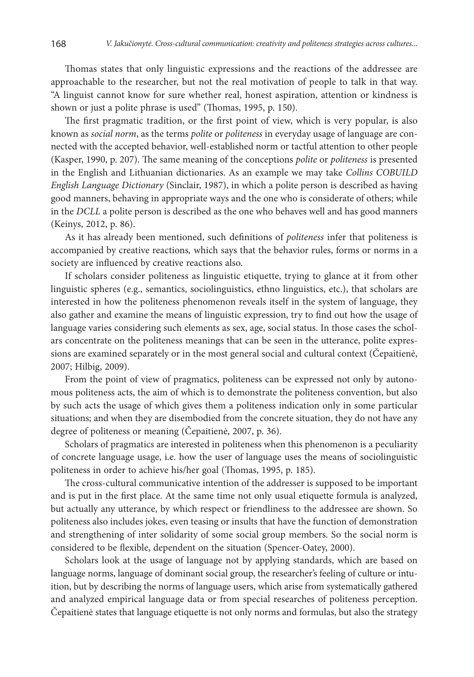Thomas states that only linguistic expressions and the reactions of the addressee are approachable to the researcher, but not the real motivation of people to talk in that way. "A linguist cannot know for sure whether real, honest aspiration, attention or kindness is shown or just a polite phrase is used" (Thomas, 1995, p. 150).

The first pragmatic tradition, or the first point of view, which is very popular, is also known as *social norm*, as the terms *polite* or *politeness* in everyday usage of language are connected with the accepted behavior, well-established norm or tactful attention to other people (Kasper, 1990, p. 207). The same meaning of the conceptions *polite* or *politeness* is presented in the English and Lithuanian dictionaries. As an example we may take *Collins COBUILD English Language Dictionary* (Sinclair, 1987), in which a polite person is described as having good manners, behaving in appropriate ways and the one who is considerate of others; while in the *DCLL* a polite person is described as the one who behaves well and has good manners (Keinys, 2012, p. 86).

As it has already been mentioned, such definitions of *politeness* infer that politeness is accompanied by creative reactions*,* which says that the behavior rules, forms or norms in a society are influenced by creative reactions also.

If scholars consider politeness as linguistic etiquette, trying to glance at it from other linguistic spheres (e.g., semantics, sociolinguistics, ethno linguistics, etc.), that scholars are interested in how the politeness phenomenon reveals itself in the system of language, they also gather and examine the means of linguistic expression, try to find out how the usage of language varies considering such elements as sex, age, social status. In those cases the scholars concentrate on the politeness meanings that can be seen in the utterance, polite expressions are examined separately or in the most general social and cultural context (Čepaitienė, 2007; Hilbig, 2009).

From the point of view of pragmatics, politeness can be expressed not only by autonomous politeness acts, the aim of which is to demonstrate the politeness convention, but also by such acts the usage of which gives them a politeness indication only in some particular situations; and when they are disembodied from the concrete situation, they do not have any degree of politeness or meaning (Čepaitienė, 2007, p. 36).

Scholars of pragmatics are interested in politeness when this phenomenon is a peculiarity of concrete language usage, i.e. how the user of language uses the means of sociolinguistic politeness in order to achieve his/her goal (Thomas, 1995, p. 185).

The cross-cultural communicative intention of the addresser is supposed to be important and is put in the first place. At the same time not only usual etiquette formula is analyzed, but actually any utterance, by which respect or friendliness to the addressee are shown. So politeness also includes jokes, even teasing or insults that have the function of demonstration and strengthening of inter solidarity of some social group members. So the social norm is considered to be flexible, dependent on the situation (Spencer-Oatey, 2000).

Scholars look at the usage of language not by applying standards, which are based on language norms, language of dominant social group, the researcher's feeling of culture or intuition, but by describing the norms of language users, which arise from systematically gathered and analyzed empirical language data or from special researches of politeness perception. Čepaitienė states that language etiquette is not only norms and formulas, but also the strategy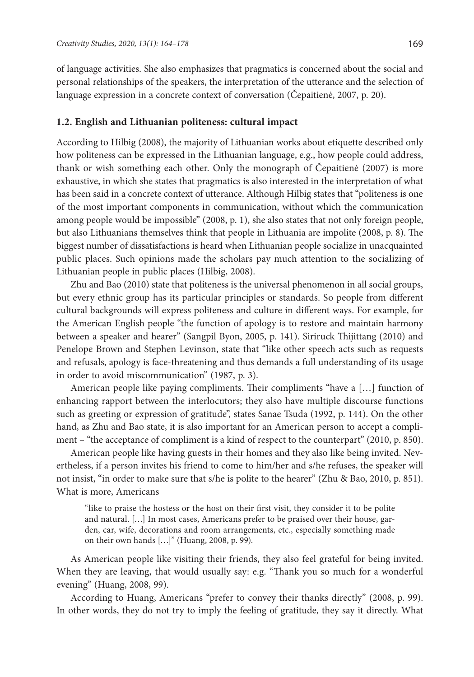of language activities. She also emphasizes that pragmatics is concerned about the social and personal relationships of the speakers, the interpretation of the utterance and the selection of language expression in a concrete context of conversation (Čepaitienė, 2007, p. 20).

#### **1.2. English and Lithuanian politeness: cultural impact**

According to Hilbig (2008), the majority of Lithuanian works about etiquette described only how politeness can be expressed in the Lithuanian language, e.g., how people could address, thank or wish something each other. Only the monograph of Čepaitienė (2007) is more exhaustive, in which she states that pragmatics is also interested in the interpretation of what has been said in a concrete context of utterance. Although Hilbig states that "politeness is one of the most important components in communication, without which the communication among people would be impossible" (2008, p. 1), she also states that not only foreign people, but also Lithuanians themselves think that people in Lithuania are impolite (2008, p. 8). The biggest number of dissatisfactions is heard when Lithuanian people socialize in unacquainted public places. Such opinions made the scholars pay much attention to the socializing of Lithuanian people in public places (Hilbig, 2008).

Zhu and Bao (2010) state that politeness is the universal phenomenon in all social groups, but every ethnic group has its particular principles or standards. So people from different cultural backgrounds will express politeness and culture in different ways. For example, for the American English people "the function of apology is to restore and maintain harmony between a speaker and hearer" (Sangpil Byon, 2005, p. 141). Siriruck Thijittang (2010) and Penelope Brown and Stephen Levinson, state that "like other speech acts such as requests and refusals, apology is face-threatening and thus demands a full understanding of its usage in order to avoid miscommunication" (1987, p. 3).

American people like paying compliments. Their compliments "have a […] function of enhancing rapport between the interlocutors; they also have multiple discourse functions such as greeting or expression of gratitude", states Sanae Tsuda (1992, p. 144). On the other hand, as Zhu and Bao state, it is also important for an American person to accept a compliment – "the acceptance of compliment is a kind of respect to the counterpart" (2010, p. 850).

American people like having guests in their homes and they also like being invited. Nevertheless, if a person invites his friend to come to him/her and s/he refuses, the speaker will not insist, "in order to make sure that s/he is polite to the hearer" (Zhu & Bao, 2010, p. 851). What is more, Americans

"like to praise the hostess or the host on their first visit, they consider it to be polite and natural. […] In most cases, Americans prefer to be praised over their house, garden, car, wife, decorations and room arrangements, etc., especially something made on their own hands […]" (Huang, 2008, p. 99).

As American people like visiting their friends, they also feel grateful for being invited. When they are leaving, that would usually say: e.g. "Thank you so much for a wonderful evening" (Huang, 2008, 99).

According to Huang, Americans "prefer to convey their thanks directly" (2008, p. 99). In other words, they do not try to imply the feeling of gratitude, they say it directly. What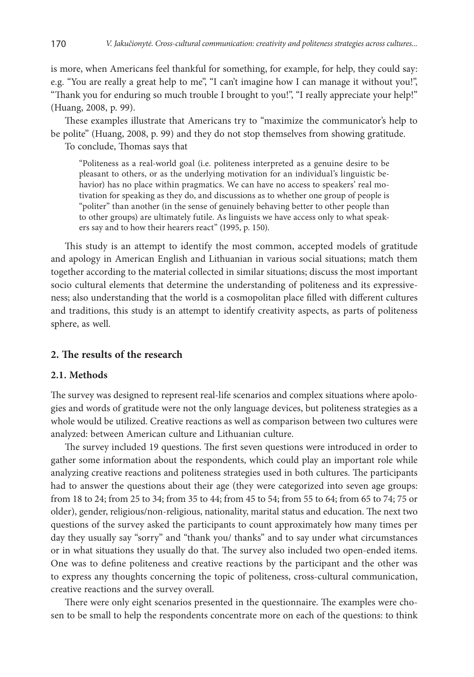is more, when Americans feel thankful for something, for example, for help, they could say: e.g. "You are really a great help to me", "I can't imagine how I can manage it without you!", "Thank you for enduring so much trouble I brought to you!", "I really appreciate your help!" (Huang, 2008, p. 99).

These examples illustrate that Americans try to "maximize the communicator's help to be polite" (Huang, 2008, p. 99) and they do not stop themselves from showing gratitude.

To conclude, Thomas says that

"Politeness as a real-world goal (i.e. politeness interpreted as a genuine desire to be pleasant to others, or as the underlying motivation for an individual's linguistic behavior) has no place within pragmatics. We can have no access to speakers' real motivation for speaking as they do, and discussions as to whether one group of people is "politer" than another (in the sense of genuinely behaving better to other people than to other groups) are ultimately futile. As linguists we have access only to what speakers say and to how their hearers react" (1995, p. 150).

This study is an attempt to identify the most common, accepted models of gratitude and apology in American English and Lithuanian in various social situations; match them together according to the material collected in similar situations; discuss the most important socio cultural elements that determine the understanding of politeness and its expressiveness; also understanding that the world is a cosmopolitan place filled with different cultures and traditions, this study is an attempt to identify creativity aspects, as parts of politeness sphere, as well.

#### **2. The results of the research**

## **2.1. Methods**

The survey was designed to represent real-life scenarios and complex situations where apologies and words of gratitude were not the only language devices, but politeness strategies as a whole would be utilized. Creative reactions as well as comparison between two cultures were analyzed: between American culture and Lithuanian culture.

The survey included 19 questions. The first seven questions were introduced in order to gather some information about the respondents, which could play an important role while analyzing creative reactions and politeness strategies used in both cultures. The participants had to answer the questions about their age (they were categorized into seven age groups: from 18 to 24; from 25 to 34; from 35 to 44; from 45 to 54; from 55 to 64; from 65 to 74; 75 or older), gender, religious/non-religious, nationality, marital status and education. The next two questions of the survey asked the participants to count approximately how many times per day they usually say "sorry" and "thank you/ thanks" and to say under what circumstances or in what situations they usually do that. The survey also included two open-ended items. One was to define politeness and creative reactions by the participant and the other was to express any thoughts concerning the topic of politeness, cross-cultural communication, creative reactions and the survey overall.

There were only eight scenarios presented in the questionnaire. The examples were chosen to be small to help the respondents concentrate more on each of the questions: to think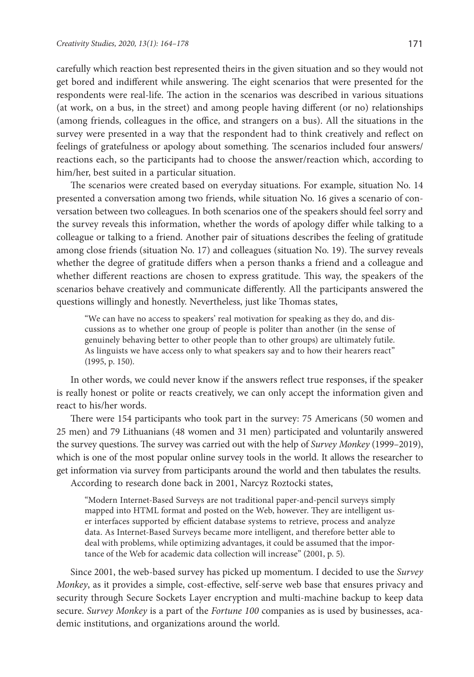carefully which reaction best represented theirs in the given situation and so they would not get bored and indifferent while answering. The eight scenarios that were presented for the respondents were real-life. The action in the scenarios was described in various situations (at work, on a bus, in the street) and among people having different (or no) relationships (among friends, colleagues in the office, and strangers on a bus). All the situations in the survey were presented in a way that the respondent had to think creatively and reflect on feelings of gratefulness or apology about something. The scenarios included four answers/ reactions each, so the participants had to choose the answer/reaction which, according to him/her, best suited in a particular situation.

The scenarios were created based on everyday situations. For example, situation No. 14 presented a conversation among two friends, while situation No. 16 gives a scenario of conversation between two colleagues. In both scenarios one of the speakers should feel sorry and the survey reveals this information, whether the words of apology differ while talking to a colleague or talking to a friend. Another pair of situations describes the feeling of gratitude among close friends (situation No. 17) and colleagues (situation No. 19). The survey reveals whether the degree of gratitude differs when a person thanks a friend and a colleague and whether different reactions are chosen to express gratitude. This way, the speakers of the scenarios behave creatively and communicate differently. All the participants answered the questions willingly and honestly. Nevertheless, just like Thomas states,

"We can have no access to speakers' real motivation for speaking as they do, and discussions as to whether one group of people is politer than another (in the sense of genuinely behaving better to other people than to other groups) are ultimately futile. As linguists we have access only to what speakers say and to how their hearers react" (1995, p. 150).

In other words, we could never know if the answers reflect true responses, if the speaker is really honest or polite or reacts creatively, we can only accept the information given and react to his/her words.

There were 154 participants who took part in the survey: 75 Americans (50 women and 25 men) and 79 Lithuanians (48 women and 31 men) participated and voluntarily answered the survey questions. The survey was carried out with the help of *Survey Monkey* (1999–2019), which is one of the most popular online survey tools in the world. It allows the researcher to get information via survey from participants around the world and then tabulates the results. According to research done back in 2001, Narcyz Roztocki states,

"Modern Internet-Based Surveys are not traditional paper-and-pencil surveys simply mapped into HTML format and posted on the Web, however. They are intelligent user interfaces supported by efficient database systems to retrieve, process and analyze data. As Internet-Based Surveys became more intelligent, and therefore better able to deal with problems, while optimizing advantages, it could be assumed that the importance of the Web for academic data collection will increase" (2001, p. 5).

Since 2001, the web-based survey has picked up momentum. I decided to use the *Survey Monkey*, as it provides a simple, cost-effective, self-serve web base that ensures privacy and security through Secure Sockets Layer encryption and multi-machine backup to keep data secure. *Survey Monkey* is a part of the *Fortune 100* companies as is used by businesses, academic institutions, and organizations around the world.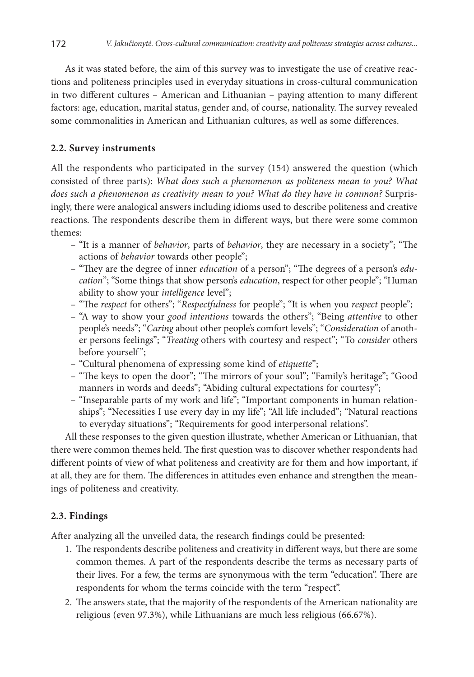As it was stated before, the aim of this survey was to investigate the use of creative reactions and politeness principles used in everyday situations in cross-cultural communication in two different cultures – American and Lithuanian – paying attention to many different factors: age, education, marital status, gender and, of course, nationality. The survey revealed some commonalities in American and Lithuanian cultures, as well as some differences.

## **2.2. Survey instruments**

All the respondents who participated in the survey (154) answered the question (which consisted of three parts): *What does such a phenomenon as politeness mean to you? What does such a phenomenon as creativity mean to you? What do they have in common?* Surprisingly, there were analogical answers including idioms used to describe politeness and creative reactions. The respondents describe them in different ways, but there were some common themes:

- "It is a manner of *behavior*, parts of *behavior*, they are necessary in a society"; "The actions of *behavior* towards other people";
- "They are the degree of inner *education* of a person"; "The degrees of a person's *education*"; "Some things that show person's *education*, respect for other people"; "Human ability to show your *intelligence* level";
- "The *respect* for others"; "*Respectfulness* for people"; "It is when you *respect* people";
- "A way to show your *good intentions* towards the others"; "Being *attentive* to other people's needs"; "*Caring* about other people's comfort levels"; "*Consideration* of another persons feelings"; "*Treating* others with courtesy and respect"; "To *consider* others before yourself";
- "Cultural phenomena of expressing some kind of *etiquette*";
- "The keys to open the door"; "The mirrors of your soul"; "Family's heritage"; "Good manners in words and deeds"; "Abiding cultural expectations for courtesy";
- "Inseparable parts of my work and life"; "Important components in human relationships"; "Necessities I use every day in my life"; "All life included"; "Natural reactions to everyday situations"; "Requirements for good interpersonal relations".

All these responses to the given question illustrate, whether American or Lithuanian, that there were common themes held. The first question was to discover whether respondents had different points of view of what politeness and creativity are for them and how important, if at all, they are for them. The differences in attitudes even enhance and strengthen the meanings of politeness and creativity.

#### **2.3. Findings**

After analyzing all the unveiled data, the research findings could be presented:

- 1. The respondents describe politeness and creativity in different ways, but there are some common themes. A part of the respondents describe the terms as necessary parts of their lives. For a few, the terms are synonymous with the term "education". There are respondents for whom the terms coincide with the term "respect".
- 2. The answers state, that the majority of the respondents of the American nationality are religious (even 97.3%), while Lithuanians are much less religious (66.67%).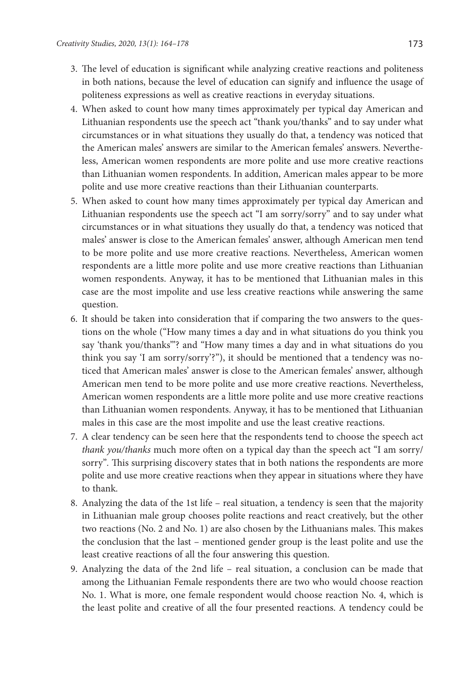- 3. The level of education is significant while analyzing creative reactions and politeness in both nations, because the level of education can signify and influence the usage of politeness expressions as well as creative reactions in everyday situations.
- 4. When asked to count how many times approximately per typical day American and Lithuanian respondents use the speech act "thank you/thanks" and to say under what circumstances or in what situations they usually do that, a tendency was noticed that the American males' answers are similar to the American females' answers. Nevertheless, American women respondents are more polite and use more creative reactions than Lithuanian women respondents. In addition, American males appear to be more polite and use more creative reactions than their Lithuanian counterparts.
- 5. When asked to count how many times approximately per typical day American and Lithuanian respondents use the speech act "I am sorry/sorry" and to say under what circumstances or in what situations they usually do that, a tendency was noticed that males' answer is close to the American females' answer, although American men tend to be more polite and use more creative reactions. Nevertheless, American women respondents are a little more polite and use more creative reactions than Lithuanian women respondents. Anyway, it has to be mentioned that Lithuanian males in this case are the most impolite and use less creative reactions while answering the same question.
- 6. It should be taken into consideration that if comparing the two answers to the questions on the whole ("How many times a day and in what situations do you think you say 'thank you/thanks'"? and "How many times a day and in what situations do you think you say 'I am sorry/sorry'?"), it should be mentioned that a tendency was noticed that American males' answer is close to the American females' answer, although American men tend to be more polite and use more creative reactions. Nevertheless, American women respondents are a little more polite and use more creative reactions than Lithuanian women respondents. Anyway, it has to be mentioned that Lithuanian males in this case are the most impolite and use the least creative reactions.
- 7. A clear tendency can be seen here that the respondents tend to choose the speech act *thank you/thanks* much more often on a typical day than the speech act "I am sorry/ sorry"*.* This surprising discovery states that in both nations the respondents are more polite and use more creative reactions when they appear in situations where they have to thank.
- 8. Analyzing the data of the 1st life real situation, a tendency is seen that the majority in Lithuanian male group chooses polite reactions and react creatively, but the other two reactions (No. 2 and No. 1) are also chosen by the Lithuanians males. This makes the conclusion that the last – mentioned gender group is the least polite and use the least creative reactions of all the four answering this question.
- 9. Analyzing the data of the 2nd life real situation, a conclusion can be made that among the Lithuanian Female respondents there are two who would choose reaction No. 1. What is more, one female respondent would choose reaction No. 4, which is the least polite and creative of all the four presented reactions. A tendency could be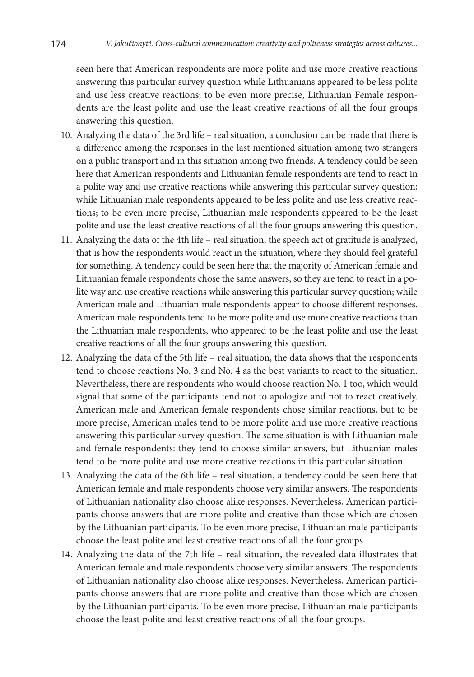seen here that American respondents are more polite and use more creative reactions answering this particular survey question while Lithuanians appeared to be less polite and use less creative reactions; to be even more precise, Lithuanian Female respondents are the least polite and use the least creative reactions of all the four groups answering this question.

- 10. Analyzing the data of the 3rd life real situation, a conclusion can be made that there is a difference among the responses in the last mentioned situation among two strangers on a public transport and in this situation among two friends. A tendency could be seen here that American respondents and Lithuanian female respondents are tend to react in a polite way and use creative reactions while answering this particular survey question; while Lithuanian male respondents appeared to be less polite and use less creative reactions; to be even more precise, Lithuanian male respondents appeared to be the least polite and use the least creative reactions of all the four groups answering this question.
- 11. Analyzing the data of the 4th life real situation, the speech act of gratitude is analyzed, that is how the respondents would react in the situation, where they should feel grateful for something. A tendency could be seen here that the majority of American female and Lithuanian female respondents chose the same answers, so they are tend to react in a polite way and use creative reactions while answering this particular survey question; while American male and Lithuanian male respondents appear to choose different responses. American male respondents tend to be more polite and use more creative reactions than the Lithuanian male respondents, who appeared to be the least polite and use the least creative reactions of all the four groups answering this question.
- 12. Analyzing the data of the 5th life real situation, the data shows that the respondents tend to choose reactions No. 3 and No. 4 as the best variants to react to the situation. Nevertheless, there are respondents who would choose reaction No. 1 too, which would signal that some of the participants tend not to apologize and not to react creatively. American male and American female respondents chose similar reactions, but to be more precise, American males tend to be more polite and use more creative reactions answering this particular survey question. The same situation is with Lithuanian male and female respondents: they tend to choose similar answers, but Lithuanian males tend to be more polite and use more creative reactions in this particular situation.
- 13. Analyzing the data of the 6th life real situation, a tendency could be seen here that American female and male respondents choose very similar answers. The respondents of Lithuanian nationality also choose alike responses. Nevertheless, American participants choose answers that are more polite and creative than those which are chosen by the Lithuanian participants. To be even more precise, Lithuanian male participants choose the least polite and least creative reactions of all the four groups.
- 14. Analyzing the data of the 7th life real situation, the revealed data illustrates that American female and male respondents choose very similar answers. The respondents of Lithuanian nationality also choose alike responses. Nevertheless, American participants choose answers that are more polite and creative than those which are chosen by the Lithuanian participants. To be even more precise, Lithuanian male participants choose the least polite and least creative reactions of all the four groups.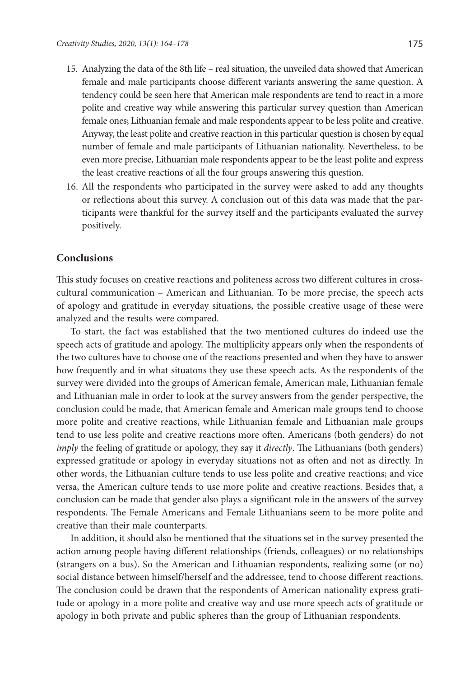- 15. Analyzing the data of the 8th life real situation, the unveiled data showed that American female and male participants choose different variants answering the same question. A tendency could be seen here that American male respondents are tend to react in a more polite and creative way while answering this particular survey question than American female ones; Lithuanian female and male respondents appear to be less polite and creative. Anyway, the least polite and creative reaction in this particular question is chosen by equal number of female and male participants of Lithuanian nationality. Nevertheless, to be even more precise, Lithuanian male respondents appear to be the least polite and express the least creative reactions of all the four groups answering this question.
- 16. All the respondents who participated in the survey were asked to add any thoughts or reflections about this survey. A conclusion out of this data was made that the participants were thankful for the survey itself and the participants evaluated the survey positively.

## **Conclusions**

This study focuses on creative reactions and politeness across two different cultures in crosscultural communication – American and Lithuanian. To be more precise, the speech acts of apology and gratitude in everyday situations, the possible creative usage of these were analyzed and the results were compared.

To start, the fact was established that the two mentioned cultures do indeed use the speech acts of gratitude and apology. The multiplicity appears only when the respondents of the two cultures have to choose one of the reactions presented and when they have to answer how frequently and in what situatons they use these speech acts. As the respondents of the survey were divided into the groups of American female, American male, Lithuanian female and Lithuanian male in order to look at the survey answers from the gender perspective, the conclusion could be made, that American female and American male groups tend to choose more polite and creative reactions, while Lithuanian female and Lithuanian male groups tend to use less polite and creative reactions more often. Americans (both genders) do not *imply* the feeling of gratitude or apology, they say it *directly*. The Lithuanians (both genders) expressed gratitude or apology in everyday situations not as often and not as directly. In other words, the Lithuanian culture tends to use less polite and creative reactions; and vice versa, the American culture tends to use more polite and creative reactions. Besides that, a conclusion can be made that gender also plays a significant role in the answers of the survey respondents. The Female Americans and Female Lithuanians seem to be more polite and creative than their male counterparts.

In addition, it should also be mentioned that the situations set in the survey presented the action among people having different relationships (friends, colleagues) or no relationships (strangers on a bus). So the American and Lithuanian respondents, realizing some (or no) social distance between himself/herself and the addressee, tend to choose different reactions. The conclusion could be drawn that the respondents of American nationality express gratitude or apology in a more polite and creative way and use more speech acts of gratitude or apology in both private and public spheres than the group of Lithuanian respondents.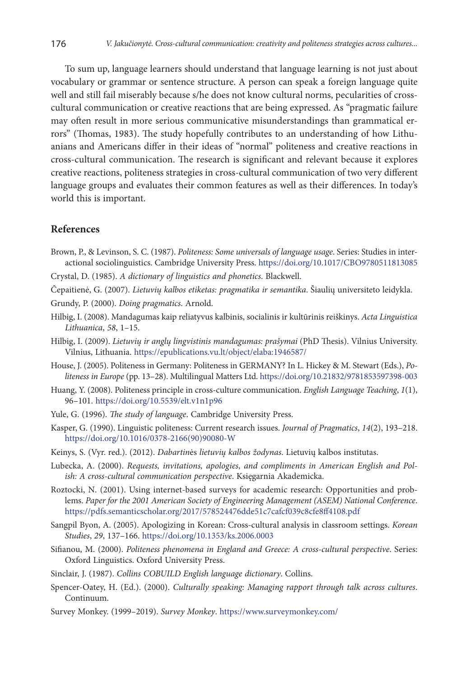To sum up, language learners should understand that language learning is not just about vocabulary or grammar or sentence structure. A person can speak a foreign language quite well and still fail miserably because s/he does not know cultural norms, pecularities of crosscultural communication or creative reactions that are being expressed. As "pragmatic failure may often result in more serious communicative misunderstandings than grammatical errors" (Thomas, 1983). The study hopefully contributes to an understanding of how Lithuanians and Americans differ in their ideas of "normal" politeness and creative reactions in cross-cultural communication. The research is significant and relevant because it explores creative reactions, politeness strategies in cross-cultural communication of two very different language groups and evaluates their common features as well as their differences. In today's world this is important.

#### **References**

- Brown, P., & Levinson, S. C. (1987). *Politeness: Some universals of language usage*. Series: Studies in interactional sociolinguistics. Cambridge University Press. <https://doi.org/10.1017/CBO9780511813085>
- Crystal, D. (1985). *A dictionary of linguistics and phonetics*. Blackwell.
- Čepaitienė, G. (2007). *Lietuvių kalbos etiketas: pragmatika ir semantika*. Šiaulių universiteto leidykla.
- Grundy, P. (2000). *Doing pragmatics*. Arnold.
- Hilbig, I. (2008). Mandagumas kaip reliatyvus kalbinis, socialinis ir kultūrinis reiškinys. *Acta Linguistica Lithuanica*, *58*, 1–15.
- Hilbig, I. (2009). *Lietuvių ir anglų lingvistinis mandagumas: prašymai* (PhD Thesis). Vilnius University. Vilnius, Lithuania. https://epublications.vu.lt/object/elaba:1946587/
- House, J. (2005). Politeness in Germany: Politeness in GERMANY? In L. Hickey & M. Stewart (Eds.), *Politeness in Europe* (pp. 13–28). Multilingual Matters Ltd.<https://doi.org/10.21832/9781853597398-003>
- Huang, Y. (2008). Politeness principle in cross-culture communication. *English Language Teaching*, *1*(1), 96–101. <https://doi.org/10.5539/elt.v1n1p96>
- Yule, G. (1996). *The study of language*. Cambridge University Press.
- Kasper, G. (1990). Linguistic politeness: Current research issues. *Journal of Pragmatics*, *14*(2), 193–218. [https://doi.org/10.1016/0378-2166\(90\)90080-W](https://doi.org/10.1016/0378-2166(90)90080-W)
- Keinys, S. (Vyr. red.). (2012). *Dabartin*ės *lietuvių kalbos žodynas*. Lietuvių kalbos institutas.
- Lubecka, A. (2000). *Requests, invitations, apologies, and compliments in American English and Polish: A cross-cultural communication perspective*. Księgarnia Akademicka.
- Roztocki, N. (2001). Using internet-based surveys for academic research: Opportunities and problems. *Paper for the 2001 American Society of Engineering Management (ASEM) National Conference*. https://pdfs.semanticscholar.org/2017/578524476dde51c7cafcf039c8cfe8ff4108.pdf
- Sangpil Byon, A. (2005). Apologizing in Korean: Cross-cultural analysis in classroom settings. *Korean Studies*, *29*, 137–166. <https://doi.org/10.1353/ks.2006.0003>
- Sifianou, M. (2000). *Politeness phenomena in England and Greece: A cross-cultural perspective*. Series: Oxford Linguistics. Oxford University Press.
- Sinclair, J. (1987). *Collins COBUILD English language dictionary*. Collins.
- Spencer-Oatey, H. (Ed.). (2000). *Culturally speaking: Managing rapport through talk across cultures*. Continuum.
- Survey Monkey. (1999–2019). *Survey Monkey*. https://www.surveymonkey.com/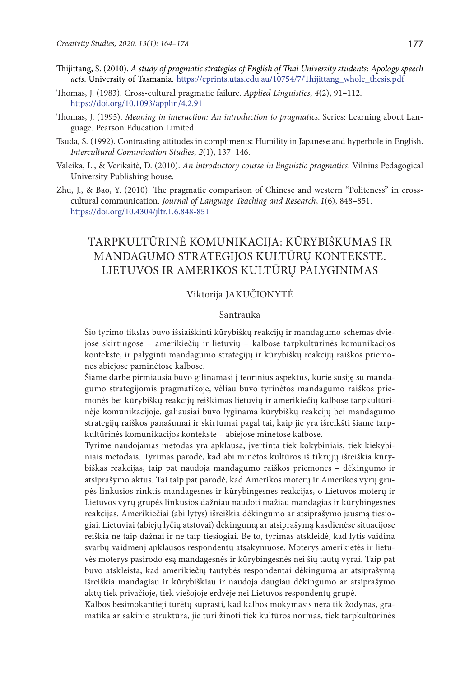- Thijittang, S. (2010). *A study of pragmatic strategies of English of Thai University students: Apology speech acts*. University of Tasmania. https://eprints.utas.edu.au/10754/7/Thijittang\_whole\_thesis.pdf
- Thomas, J. (1983). Cross-cultural pragmatic failure. *Applied Linguistics*, *4*(2), 91–112. <https://doi.org/10.1093/applin/4.2.91>
- Thomas, J. (1995). *Meaning in interaction: An introduction to pragmatics*. Series: Learning about Language. Pearson Education Limited.
- Tsuda, S. (1992). Contrasting attitudes in compliments: Humility in Japanese and hyperbole in English. *Intercultural Comunication Studies*, *2*(1), 137–146.
- Valeika, L., & Verikaitė, D. (2010). *An introductory course in linguistic pragmatics*. Vilnius Pedagogical University Publishing house.
- Zhu, J., & Bao, Y. (2010). The pragmatic comparison of Chinese and western "Politeness" in crosscultural communication. *Journal of Language Teaching and Research*, *1*(6), 848–851. <https://doi.org/10.4304/jltr.1.6.848-851>

# TARPKULTŪRINĖ KOMUNIKACIJA: KŪRYBIŠKUMAS IR MANDAGUMO STRATEGIJOS KULTŪRŲ KONTEKSTE. LIETUVOS IR AMERIKOS KULTŪRŲ PALYGINIMAS

#### Viktorija JAKUČIONYTĖ

#### Santrauka

Šio tyrimo tikslas buvo išsiaiškinti kūrybiškų reakcijų ir mandagumo schemas dviejose skirtingose – amerikiečių ir lietuvių – kalbose tarpkultūrinės komunikacijos kontekste, ir palyginti mandagumo strategijų ir kūrybiškų reakcijų raiškos priemones abiejose paminėtose kalbose.

Šiame darbe pirmiausia buvo gilinamasi į teorinius aspektus, kurie susiję su mandagumo strategijomis pragmatikoje, vėliau buvo tyrinėtos mandagumo raiškos priemonės bei kūrybiškų reakcijų reiškimas lietuvių ir amerikiečių kalbose tarpkultūrinėje komunikacijoje, galiausiai buvo lyginama kūrybiškų reakcijų bei mandagumo strategijų raiškos panašumai ir skirtumai pagal tai, kaip jie yra išreikšti šiame tarpkultūrinės komunikacijos kontekste – abiejose minėtose kalbose.

Tyrime naudojamas metodas yra apklausa, įvertinta tiek kokybiniais, tiek kiekybiniais metodais. Tyrimas parodė, kad abi minėtos kultūros iš tikrųjų išreiškia kūrybiškas reakcijas, taip pat naudoja mandagumo raiškos priemones – dėkingumo ir atsiprašymo aktus. Tai taip pat parodė, kad Amerikos moterų ir Amerikos vyrų grupės linkusios rinktis mandagesnes ir kūrybingesnes reakcijas, o Lietuvos moterų ir Lietuvos vyrų grupės linkusios dažniau naudoti mažiau mandagias ir kūrybingesnes reakcijas. Amerikiečiai (abi lytys) išreiškia dėkingumo ar atsiprašymo jausmą tiesiogiai. Lietuviai (abiejų lyčių atstovai) dėkingumą ar atsiprašymą kasdienėse situacijose reiškia ne taip dažnai ir ne taip tiesiogiai. Be to, tyrimas atskleidė, kad lytis vaidina svarbų vaidmenį apklausos respondentų atsakymuose. Moterys amerikietės ir lietuvės moterys pasirodo esą mandagesnės ir kūrybingesnės nei šių tautų vyrai. Taip pat buvo atskleista, kad amerikiečių tautybės respondentai dėkingumą ar atsiprašymą išreiškia mandagiau ir kūrybiškiau ir naudoja daugiau dėkingumo ar atsiprašymo aktų tiek privačioje, tiek viešojoje erdvėje nei Lietuvos respondentų grupė.

Kalbos besimokantieji turėtų suprasti, kad kalbos mokymasis nėra tik žodynas, gramatika ar sakinio struktūra, jie turi žinoti tiek kultūros normas, tiek tarpkultūrinės